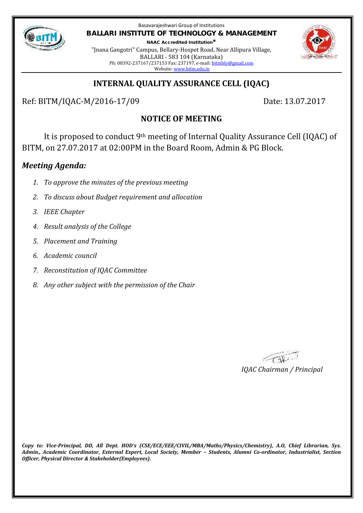

Basavarajeshwari Group of Institutions **BALLARI INSTITUTE OF TECHNOLOGY & MANAGEMENT**

**NAAC Accredited Institution\*** "Jnana Gangotri" Campus, Bellary-Hospet Road, Near Allipura Village, BALLARI - 583 104 (Karnataka) Ph: 08392-237167/237153 Fax: 237197, e-mail: bitmbly@gmail.com Website: www.bitm.edu.in



## **INTERNAL QUALITY ASSURANCE CELL (IQAC)**

Ref: BITM/IQAC-M/2016-17/09 Date: 13.07.2017

# **NOTICE OF MEETING**

It is proposed to conduct 9th meeting of Internal Quality Assurance Cell (IQAC) of BITM, on 27.07.2017 at 02:00PM in the Board Room, Admin & PG Block.

## *Meeting Agenda:*

- *1. To approve the minutes of the previous meeting*
- *2. To discuss about Budget requirement and allocation*
- *3. IEEE Chapter*
- *4. Result analysis of the College*
- *5. Placement and Training*
- *6. Academic council*
- *7. Reconstitution of IQAC Committee*
- *8. Any other subject with the permission of the Chair*

 $\ll_{\mathbb{C}}\mathbb{W}$ *IQAC Chairman / Principal*

*Copy to: Vice-Principal, DD, All Dept. HOD's (CSE/ECE/EEE/CIVIL/MBA/Maths/Physics/Chemistry), A.O, Chief Librarian, Sys. Admin., Academic Coordinator, External Expert, Local Society, Member – Students, Alumni Co-ordinator, Industrialist, Section Officer, Physical Director & Stakeholder(Employees).*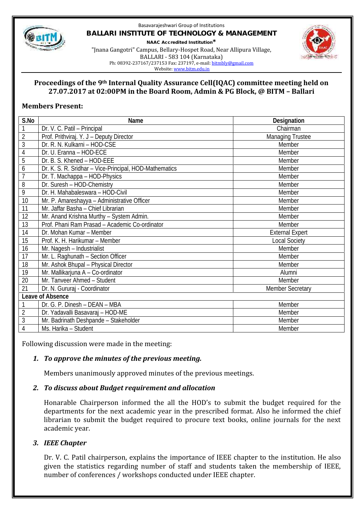

#### Basavarajeshwari Group of Institutions **BALLARI INSTITUTE OF TECHNOLOGY & MANAGEMENT NAAC Accredited Institution\*** "Jnana Gangotri" Campus, Bellary-Hospet Road, Near Allipura Village, BALLARI - 583 104 (Karnataka) Ph: 08392-237167/237153 Fax: 237197, e-mail: bitmbly@gmail.com



#### **Proceedings of the 9th Internal Quality Assurance Cell(IQAC) committee meeting held on 27.07.2017 at 02:00PM in the Board Room, Admin & PG Block, @ BITM – Ballari**

### **Members Present:**

| S.No             | Name                                                   | Designation             |
|------------------|--------------------------------------------------------|-------------------------|
| $\mathbf{1}$     | Dr. V. C. Patil - Principal                            | Chairman                |
| $\overline{2}$   | Prof. Prithviraj. Y. J - Deputy Director               | <b>Managing Trustee</b> |
| 3                | Dr. R. N. Kulkarni - HOD-CSE                           | Member                  |
| 4                | Dr. U. Eranna - HOD-ECE                                | Member                  |
| 5                | Dr. B. S. Khened - HOD-EEE                             | Member                  |
| 6                | Dr. K. S. R. Sridhar - Vice-Principal, HOD-Mathematics | Member                  |
| $\overline{7}$   | Dr. T. Machappa - HOD-Physics                          | Member                  |
| 8                | Dr. Suresh - HOD-Chemistry                             | Member                  |
| $\overline{9}$   | Dr. H. Mahabaleswara - HOD-Civil                       | Member                  |
| 10               | Mr. P. Amareshayya - Administrative Officer            | Member                  |
| 11               | Mr. Jaffar Basha - Chief Librarian                     | Member                  |
| 12               | Mr. Anand Krishna Murthy - System Admin.               | Member                  |
| 13               | Prof. Phani Ram Prasad - Academic Co-ordinator         | Member                  |
| 14               | Dr. Mohan Kumar - Member                               | <b>External Expert</b>  |
| 15               | Prof. K. H. Harikumar - Member                         | <b>Local Society</b>    |
| 16               | Mr. Nagesh - Industrialist                             | Member                  |
| 17               | Mr. L. Raghunath - Section Officer                     | Member                  |
| 18               | Mr. Ashok Bhupal - Physical Director                   | Member                  |
| 19               | Mr. Mallikarjuna A - Co-ordinator                      | Alumni                  |
| 20               | Mr. Tanveer Ahmed - Student                            | Member                  |
| 21               | Dr. N. Gururaj - Coordinator                           | <b>Member Secretary</b> |
| Leave of Absence |                                                        |                         |
| 1                | Dr. G. P. Dinesh - DEAN - MBA                          | Member                  |
| $\overline{2}$   | Dr. Yadavalli Basavaraj - HOD-ME                       | Member                  |
| $\overline{3}$   | Mr. Badrinath Deshpande - Stakeholder                  | Member                  |
| 4                | Ms. Harika - Student                                   | Member                  |

Following discussion were made in the meeting:

### *1. To approve the minutes of the previous meeting.*

Members unanimously approved minutes of the previous meetings.

#### *2. To discuss about Budget requirement and allocation*

Honarable Chairperson informed the all the HOD's to submit the budget required for the departments for the next academic year in the prescribed format. Also he informed the chief librarian to submit the budget required to procure text books, online journals for the next academic year.

#### *3. IEEE Chapter*

Dr. V. C. Patil chairperson, explains the importance of IEEE chapter to the institution. He also given the statistics regarding number of staff and students taken the membership of IEEE, number of conferences / workshops conducted under IEEE chapter.